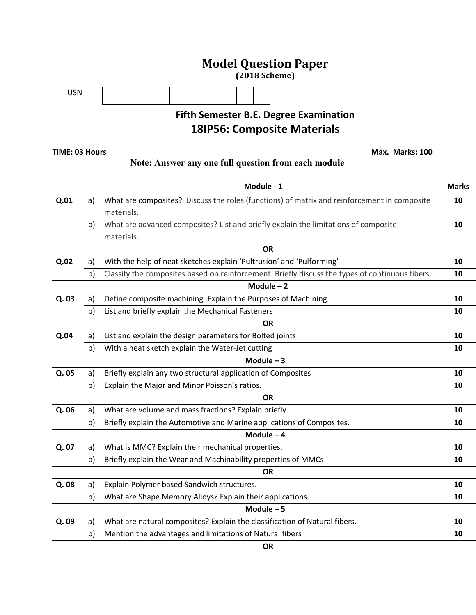## **Model Question Paper**

**(2018 Scheme)**



# **Fifth Semester B.E. Degree Examination 18IP56: Composite Materials**

#### **TIME: 03 Hours Max. Marks: 100**

### **Note: Answer any one full question from each module**

|       |    | Module - 1                                                                                      | <b>Marks</b> |
|-------|----|-------------------------------------------------------------------------------------------------|--------------|
| Q.01  | a) | What are composites? Discuss the roles (functions) of matrix and reinforcement in composite     | 10           |
|       |    | materials.                                                                                      |              |
|       | b) | What are advanced composites? List and briefly explain the limitations of composite             | 10           |
|       |    | materials.                                                                                      |              |
|       |    | <b>OR</b>                                                                                       |              |
| Q.02  | a) | With the help of neat sketches explain 'Pultrusion' and 'Pulforming'                            | 10           |
|       | b) | Classify the composites based on reinforcement. Briefly discuss the types of continuous fibers. | 10           |
|       |    | Module $-2$                                                                                     |              |
| Q.03  | a) | Define composite machining. Explain the Purposes of Machining.                                  | 10           |
|       | b) | List and briefly explain the Mechanical Fasteners                                               | 10           |
|       |    | <b>OR</b>                                                                                       |              |
| Q.04  | a) | List and explain the design parameters for Bolted joints                                        | 10           |
|       | b) | With a neat sketch explain the Water-Jet cutting                                                | 10           |
|       |    | Module $-3$                                                                                     |              |
| Q. 05 | a) | Briefly explain any two structural application of Composites                                    | 10           |
|       | b) | Explain the Major and Minor Poisson's ratios.                                                   | 10           |
|       |    | <b>OR</b>                                                                                       |              |
| Q. 06 | a) | What are volume and mass fractions? Explain briefly.                                            | 10           |
|       | b) | Briefly explain the Automotive and Marine applications of Composites.                           | 10           |
|       |    | Module $-4$                                                                                     |              |
| Q. 07 | a) | What is MMC? Explain their mechanical properties.                                               | 10           |
|       | b) | Briefly explain the Wear and Machinability properties of MMCs                                   | 10           |
|       |    | <b>OR</b>                                                                                       |              |
| Q. 08 | a) | Explain Polymer based Sandwich structures.                                                      | 10           |
|       | b) | What are Shape Memory Alloys? Explain their applications.                                       | 10           |
|       |    | Module $-5$                                                                                     |              |
| Q. 09 | a) | What are natural composites? Explain the classification of Natural fibers.                      | 10           |
|       | b) | Mention the advantages and limitations of Natural fibers                                        | 10           |
|       |    | <b>OR</b>                                                                                       |              |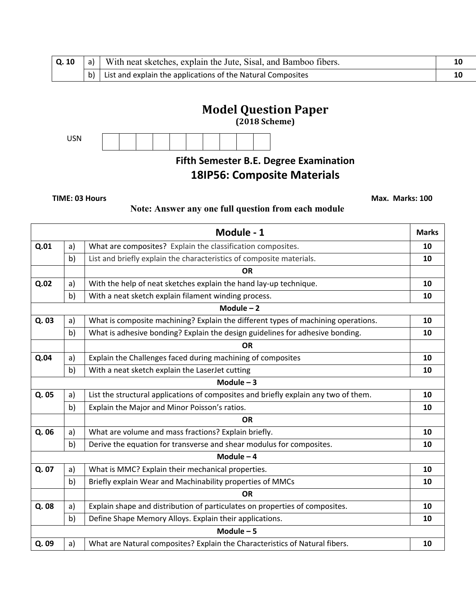|  | $\vert$ <b>Q. 10</b> $\vert$ a) $\vert$ With neat sketches, explain the Jute, Sisal, and Bamboo fibers. |  |
|--|---------------------------------------------------------------------------------------------------------|--|
|  | $\vert$ b) List and explain the applications of the Natural Composites                                  |  |

# **Model Question Paper**

**(2018 Scheme)**



# **Fifth Semester B.E. Degree Examination 18IP56: Composite Materials**

**TIME: 03 Hours Max. Marks: 100** 

### **Note: Answer any one full question from each module**

|       |    | Module - 1                                                                          | <b>Marks</b> |
|-------|----|-------------------------------------------------------------------------------------|--------------|
| Q.01  | a) | What are composites? Explain the classification composites.                         | 10           |
|       | b) | List and briefly explain the characteristics of composite materials.                | 10           |
|       |    | <b>OR</b>                                                                           |              |
| Q.02  | a) | With the help of neat sketches explain the hand lay-up technique.                   | 10           |
|       | b) | With a neat sketch explain filament winding process.                                | 10           |
|       |    | Module $-2$                                                                         |              |
| Q. 03 | a) | What is composite machining? Explain the different types of machining operations.   | 10           |
|       | b) | What is adhesive bonding? Explain the design guidelines for adhesive bonding.       | 10           |
|       |    | <b>OR</b>                                                                           |              |
| Q.04  | a) | Explain the Challenges faced during machining of composites                         | 10           |
|       | b) | With a neat sketch explain the LaserJet cutting                                     | 10           |
|       |    | Module $-3$                                                                         |              |
| Q. 05 | a) | List the structural applications of composites and briefly explain any two of them. | 10           |
|       | b) | Explain the Major and Minor Poisson's ratios.                                       | 10           |
|       |    | <b>OR</b>                                                                           |              |
| Q. 06 | a) | What are volume and mass fractions? Explain briefly.                                | 10           |
|       | b) | Derive the equation for transverse and shear modulus for composites.                | 10           |
|       |    | Module $-4$                                                                         |              |
| Q. 07 | a) | What is MMC? Explain their mechanical properties.                                   | 10           |
|       | b) | Briefly explain Wear and Machinability properties of MMCs                           | 10           |
|       |    | <b>OR</b>                                                                           |              |
| Q.08  | a) | Explain shape and distribution of particulates on properties of composites.         | 10           |
|       | b) | Define Shape Memory Alloys. Explain their applications.                             | 10           |
|       |    | Module $-5$                                                                         |              |
| Q.09  | a) | What are Natural composites? Explain the Characteristics of Natural fibers.         | 10           |